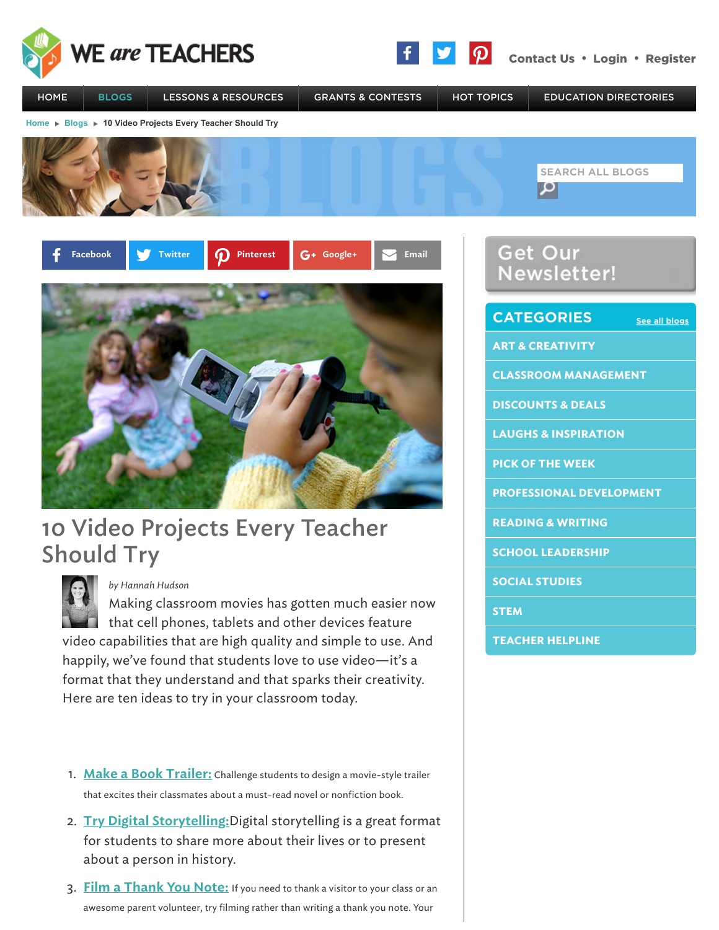



SOCIAL STUDIES

TEACHER HELPLINE

**STEM** 



## Should Try



*by Hannah Hudson*

Making classroom movies has gotten much easier now  $\Box$  that cell phones, tablets and other devices feature video capabilities that are high quality and simple to use. And happily, we've found that students love to use video—it's a format that they understand and that sparks their creativity. Here are ten ideas to try in your classroom today.

- 1. Make a Book Trailer: Challenge students to design a movie-style trailer that excites their classmates about a must-read novel or nonfiction book.
- 2. Try Digital Storytelling: Digital storytelling is a great format for students to share more about their lives or to present about a person in history.
- 3. Film a Thank You Note: If you need to thank a visitor to your class or an awesome parent volunteer, try filming rather than writing a thank you note. Your